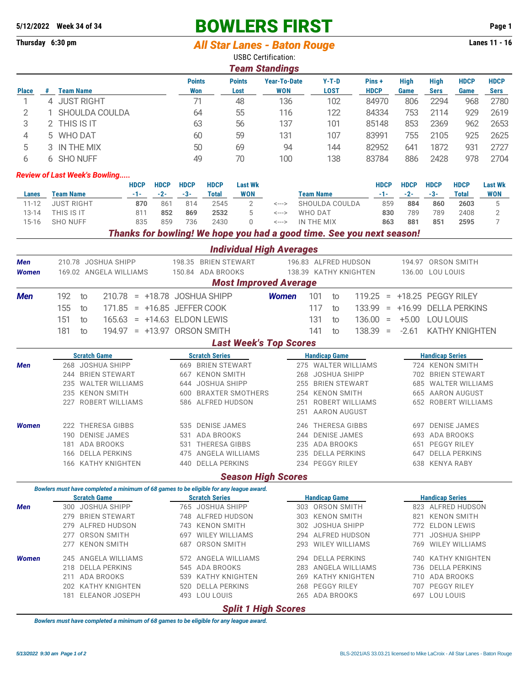# **5/12/2022 Week 34 of 34 BOWLERS FIRST Page 1**

## **Thursday 6:30 pm** *All Star Lanes - Baton Rouge* **Lanes 11 - 16**

|                |                                           |                                    |                        |             |                     |                                       |                                           | <b>Team Standings</b>                                                                  | <b>USBC Certification:</b>        |                                                  |                        |              |                        |                                    |                                         |                            |                       |                            |
|----------------|-------------------------------------------|------------------------------------|------------------------|-------------|---------------------|---------------------------------------|-------------------------------------------|----------------------------------------------------------------------------------------|-----------------------------------|--------------------------------------------------|------------------------|--------------|------------------------|------------------------------------|-----------------------------------------|----------------------------|-----------------------|----------------------------|
| <b>Place</b>   | <b>Team Name</b><br>#                     |                                    |                        |             |                     |                                       | <b>Points</b><br><b>Won</b>               | <b>Points</b><br>Lost                                                                  | <b>Year-To-Date</b><br><b>WON</b> |                                                  | $Y-T-D$<br><b>LOST</b> |              | Pins+<br><b>HDCP</b>   |                                    | <b>High</b><br>Game                     | <b>High</b><br><b>Sers</b> | <b>HDCP</b><br>Game   | <b>HDCP</b><br><b>Sers</b> |
| 1              | 4 JUST RIGHT                              |                                    |                        |             |                     |                                       | 71                                        | 48                                                                                     |                                   | 136                                              |                        | 102          | 84970                  |                                    | 806                                     | 2294                       | 968                   | 2780                       |
| $\overline{2}$ |                                           |                                    | SHOULDA COULDA         |             |                     |                                       | 64                                        | 55                                                                                     | 116                               |                                                  |                        | 122<br>84334 |                        |                                    | 753                                     | 2114<br>929                |                       | 2619                       |
| 3              |                                           | 2 THIS IS IT<br>63                 |                        | 56          | 137                 |                                       | 101                                       |                                                                                        | 85148                             |                                                  | 853                    | 2369         | 962                    | 2653                               |                                         |                            |                       |                            |
| 4              | 5 WHO DAT                                 |                                    |                        |             |                     |                                       | 60                                        | 59                                                                                     | 131                               |                                                  | 107                    |              | 83991                  |                                    | 755                                     | 2105                       | 925                   |                            |
| 5              | 3 IN THE MIX                              |                                    |                        |             |                     |                                       | 50                                        |                                                                                        | 94                                |                                                  | 144                    |              | 82952                  |                                    | 641                                     | 1872                       | 931                   | 2625<br>2727               |
| 6              | 6 SHO NUFF                                |                                    |                        |             |                     |                                       | 49                                        | 69                                                                                     |                                   |                                                  | 138                    |              | 83784                  |                                    | 886                                     | 2428                       | 978                   | 2704                       |
|                |                                           |                                    |                        |             |                     |                                       |                                           | 70                                                                                     | 100                               |                                                  |                        |              |                        |                                    |                                         |                            |                       |                            |
|                | <b>Review of Last Week's Bowling</b>      |                                    |                        | <b>HDCP</b> | <b>HDCP</b>         | <b>HDCP</b>                           | <b>HDCP</b>                               | <b>Last Wk</b>                                                                         |                                   |                                                  |                        |              |                        | <b>HDCP</b>                        | <b>HDCP</b>                             | <b>HDCP</b>                | <b>HDCP</b>           | <b>Last Wk</b>             |
| Lanes          | <b>Team Name</b>                          |                                    |                        | $-1-$       | $-2-$               | $-3-$                                 | <b>Total</b>                              | <b>WON</b>                                                                             |                                   |                                                  | <b>Team Name</b>       |              |                        | $-1-$                              | $-2-$                                   | $-3-$                      | <b>Total</b>          | <b>WON</b>                 |
| $11 - 12$      | <b>JUST RIGHT</b>                         |                                    |                        | 870         | 861                 | 814                                   | 2545                                      | $\overline{2}$                                                                         | $\leftarrow\rightarrow$           |                                                  | SHOULDA COULDA         |              |                        | 859                                | 884                                     | 860                        | 2603                  | $\mathbf 5$                |
| $13 - 14$      | THIS IS IT                                |                                    |                        | 811         | 852                 | 869                                   | 2532                                      | 5                                                                                      | $\leftarrow\rightarrow$           |                                                  | <b>WHO DAT</b>         |              | 830                    |                                    | 789                                     | 789                        | 2408                  | $\sqrt{2}$                 |
| $15 - 16$      | <b>SHO NUFF</b>                           |                                    |                        | 835         | 859                 | 736                                   | 2430                                      | $\mathbf 0$                                                                            | <--->                             |                                                  | IN THE MIX             |              |                        | 863                                | 881                                     | 851                        | 2595                  | 7                          |
|                |                                           |                                    |                        |             |                     |                                       |                                           | Thanks for bowling! We hope you had a good time. See you next season!                  |                                   |                                                  |                        |              |                        |                                    |                                         |                            |                       |                            |
|                |                                           |                                    |                        |             |                     |                                       |                                           | <b>Individual High Averages</b>                                                        |                                   |                                                  |                        |              |                        |                                    |                                         |                            |                       |                            |
| Men            |                                           |                                    | 210.78 JOSHUA SHIPP    |             |                     |                                       | 198.35 BRIEN STEWART                      |                                                                                        |                                   |                                                  | 196.83 ALFRED HUDSON   |              |                        |                                    |                                         |                            | 194.97 ORSON SMITH    |                            |
| <b>Women</b>   |                                           |                                    | 169.02 ANGELA WILLIAMS |             |                     |                                       | 150.84 ADA BROOKS                         |                                                                                        |                                   |                                                  | 138.39 KATHY KNIGHTEN  |              |                        |                                    |                                         | 136.00 LOU LOUIS           |                       |                            |
|                |                                           |                                    |                        |             |                     |                                       |                                           | <b>Most Improved Average</b>                                                           |                                   |                                                  |                        |              |                        |                                    |                                         |                            |                       |                            |
| <b>Men</b>     | 192<br>210.78 = +18.78 JOSHUA SHIPP<br>to |                                    |                        |             |                     |                                       |                                           | <b>Women</b>                                                                           |                                   | 101                                              | to                     | 119.25       |                        |                                    |                                         | $= +18.25$ PEGGY RILEY     |                       |                            |
|                | 155<br>171.85 = +16.85 JEFFER COOK<br>to  |                                    |                        |             |                     |                                       |                                           |                                                                                        | 117<br>133.99<br>to               |                                                  |                        |              | = +16.99 DELLA PERKINS |                                    |                                         |                            |                       |                            |
|                | 151                                       | to                                 | 165.63                 |             |                     |                                       | $= +14.63$ ELDON LEWIS                    |                                                                                        |                                   |                                                  | 131                    | to           | 136.00                 | $\equiv$                           | $+5.00$                                 | <b>LOU LOUIS</b>           |                       |                            |
|                | 181                                       | to                                 |                        |             |                     |                                       | 194.97 = +13.97 ORSON SMITH               |                                                                                        |                                   |                                                  | 141                    | to           | $138.39 =$             |                                    | $-2.61$                                 |                            | <b>KATHY KNIGHTEN</b> |                            |
|                |                                           |                                    |                        |             |                     |                                       |                                           | <b>Last Week's Top Scores</b>                                                          |                                   |                                                  |                        |              |                        |                                    |                                         |                            |                       |                            |
|                |                                           | <b>Scratch Game</b>                |                        |             |                     |                                       | <b>Scratch Series</b>                     |                                                                                        |                                   |                                                  | <b>Handicap Game</b>   |              |                        |                                    |                                         | <b>Handicap Series</b>     |                       |                            |
| Men            |                                           | 268 JOSHUA SHIPP                   |                        |             |                     | 669 BRIEN STEWART                     |                                           |                                                                                        |                                   | 275 WALTER WILLIAMS                              |                        |              |                        | 724 KENON SMITH                    |                                         |                            |                       |                            |
|                |                                           | 244 BRIEN STEWART                  |                        |             | 667 KENON SMITH     |                                       |                                           |                                                                                        |                                   | 268 JOSHUA SHIPP                                 |                        |              |                        |                                    |                                         |                            | 702 BRIEN STEWART     |                            |
|                |                                           | 235 WALTER WILLIAMS                |                        |             |                     | 644                                   | JOSHUA SHIPP                              |                                                                                        |                                   | 255 BRIEN STEWART                                |                        |              |                        | 685 WALTER WILLIAMS                |                                         |                            |                       |                            |
|                |                                           | 235 KENON SMITH                    |                        |             |                     |                                       | 600 BRAXTER SMOTHERS<br>586 ALFRED HUDSON |                                                                                        |                                   | 254 KENON SMITH<br><b>ROBERT WILLIAMS</b><br>251 |                        |              |                        |                                    | 665 AARON AUGUST<br>652 ROBERT WILLIAMS |                            |                       |                            |
|                |                                           | 227 ROBERT WILLIAMS                |                        |             |                     |                                       |                                           |                                                                                        |                                   | 251 AARON AUGUST                                 |                        |              |                        |                                    |                                         |                            |                       |                            |
|                |                                           |                                    |                        |             |                     |                                       |                                           |                                                                                        |                                   |                                                  |                        |              |                        |                                    |                                         |                            |                       |                            |
| <b>Women</b>   |                                           | 222 THERESA GIBBS                  |                        |             |                     | 535 DENISE JAMES<br>531 ADA BROOKS    |                                           |                                                                                        |                                   | 246 THERESA GIBBS<br>244 DENISE JAMES            |                        |              |                        |                                    | 697 DENISE JAMES<br>693 ADA BROOKS      |                            |                       |                            |
|                |                                           | 190 DENISE JAMES<br>181 ADA BROOKS |                        |             |                     | 531 THERESA GIBBS                     |                                           |                                                                                        |                                   | 235 ADA BROOKS                                   |                        |              |                        |                                    | 651 PEGGY RILEY                         |                            |                       |                            |
|                | 166 DELLA PERKINS                         |                                    |                        |             | 475 ANGELA WILLIAMS |                                       |                                           |                                                                                        | 235 DELLA PERKINS                 |                                                  |                        |              |                        | 647 DELLA PERKINS                  |                                         |                            |                       |                            |
|                | 166 KATHY KNIGHTEN                        |                                    |                        |             | 440 DELLA PERKINS   |                                       |                                           |                                                                                        | 234 PEGGY RILEY                   |                                                  |                        |              | 638 KENYA RABY         |                                    |                                         |                            |                       |                            |
|                |                                           |                                    |                        |             |                     |                                       |                                           | <b>Season High Scores</b>                                                              |                                   |                                                  |                        |              |                        |                                    |                                         |                            |                       |                            |
|                |                                           |                                    |                        |             |                     |                                       |                                           | Bowlers must have completed a minimum of 68 games to be eligible for any league award. |                                   |                                                  |                        |              |                        |                                    |                                         |                            |                       |                            |
|                |                                           | <b>Scratch Game</b>                |                        |             |                     |                                       | <b>Scratch Series</b>                     |                                                                                        |                                   |                                                  | <b>Handicap Game</b>   |              |                        |                                    |                                         | <b>Handicap Series</b>     |                       |                            |
| Men            | 300 JOSHUA SHIPP                          |                                    |                        |             |                     | 765 JOSHUA SHIPP                      |                                           |                                                                                        |                                   | 303 ORSON SMITH                                  |                        |              |                        | 823 ALFRED HUDSON                  |                                         |                            |                       |                            |
|                | 279 BRIEN STEWART<br>279 ALFRED HUDSON    |                                    |                        |             |                     | 748 ALFRED HUDSON                     |                                           |                                                                                        |                                   | 303 KENON SMITH<br>302 JOSHUA SHIPP              |                        |              |                        | 821 KENON SMITH<br>772 ELDON LEWIS |                                         |                            |                       |                            |
|                |                                           |                                    |                        |             |                     | 743 KENON SMITH<br>697 WILEY WILLIAMS |                                           |                                                                                        |                                   | 294 ALFRED HUDSON                                |                        |              |                        |                                    | 771                                     |                            | JOSHUA SHIPP          |                            |
|                |                                           | 277 ORSON SMITH<br>277 KENON SMITH |                        |             |                     |                                       | 687 ORSON SMITH                           |                                                                                        |                                   |                                                  | 293 WILEY WILLIAMS     |              |                        |                                    |                                         |                            | 769 WILEY WILLIAMS    |                            |
| <b>Women</b>   |                                           |                                    | 245 ANGELA WILLIAMS    |             |                     | 572 ANGELA WILLIAMS                   |                                           |                                                                                        | 294 DELLA PERKINS                 |                                                  |                        |              |                        | 740 KATHY KNIGHTEN                 |                                         |                            |                       |                            |
|                |                                           |                                    | 218 DELLA PERKINS      |             |                     |                                       | 545 ADA BROOKS                            |                                                                                        |                                   |                                                  | 283 ANGELA WILLIAMS    |              |                        |                                    |                                         |                            | 736 DELLA PERKINS     |                            |
|                |                                           |                                    | 211 ADA BROOKS         |             |                     |                                       | 539 KATHY KNIGHTEN                        |                                                                                        |                                   |                                                  | 269 KATHY KNIGHTEN     |              |                        |                                    |                                         | 710 ADA BROOKS             |                       |                            |
|                | 202 KATHY KNIGHTEN<br>181 ELEANOR JOSEPH  |                                    |                        |             |                     | 520 DELLA PERKINS                     |                                           |                                                                                        | 268 PEGGY RILEY                   |                                                  |                        |              |                        | 707 PEGGY RILEY<br>697 LOU LOUIS   |                                         |                            |                       |                            |
|                |                                           |                                    |                        |             |                     |                                       | 493 LOU LOUIS                             |                                                                                        |                                   |                                                  | 265 ADA BROOKS         |              |                        |                                    |                                         |                            |                       |                            |
|                |                                           |                                    |                        |             |                     |                                       |                                           | <b>Split 1 High Scores</b>                                                             |                                   |                                                  |                        |              |                        |                                    |                                         |                            |                       |                            |

*Bowlers must have completed a minimum of 68 games to be eligible for any league award.*